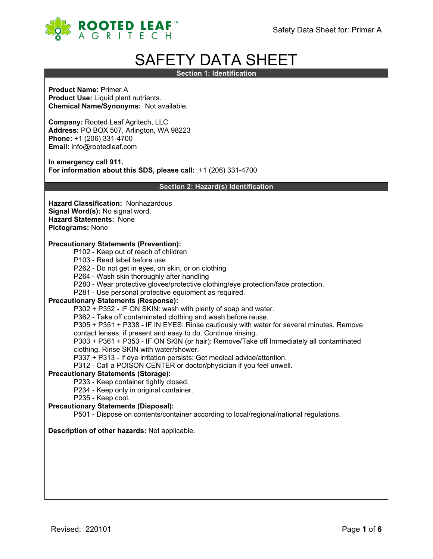

# SAFETY DATA SHEET

**Section 1: Identification**

**Product Name:** Primer A **Product Use:** Liquid plant nutrients. **Chemical Name/Synonyms:** Not available.

**Company:** Rooted Leaf Agritech, LLC **Address:** PO BOX 507, Arlington, WA 98223 **Phone:** +1 (206) 331-4700 **Email:** info@rootedleaf.com

**In emergency call 911. For information about this SDS, please call:** +1 (206) 331-4700

**Section 2: Hazard(s) Identification**

**Hazard Classification:** Nonhazardous **Signal Word(s):** No signal word. **Hazard Statements:** None **Pictograms:** None

## **Precautionary Statements (Prevention):**

- P102 Keep out of reach of children
- P103 Read label before use
- P262 Do not get in eyes, on skin, or on clothing
- P264 Wash skin thoroughly after handling
- P280 Wear protective gloves/protective clothing/eye protection/face protection.
- P281 Use personal protective equipment as required.

## **Precautionary Statements (Response):**

P302 + P352 - IF ON SKIN: wash with plenty of soap and water.

P362 - Take off contaminated clothing and wash before reuse.

P305 + P351 + P338 - IF IN EYES: Rinse cautiously with water for several minutes. Remove

contact lenses, if present and easy to do. Continue rinsing.

P303 + P361 + P353 - IF ON SKIN (or hair): Remove/Take off Immediately all contaminated clothing. Rinse SKIN with water/shower.

P337 + P313 - If eye irritation persists: Get medical advice/attention.

P312 - Call a POISON CENTER or doctor/physician if you feel unwell.

## **Precautionary Statements (Storage):**

P233 - Keep container tightly closed.

- P234 Keep only in original container.
- P235 Keep cool.

## **Precautionary Statements (Disposal):**

P501 - Dispose on contents/container according to local/regional/national regulations.

## **Description of other hazards:** Not applicable.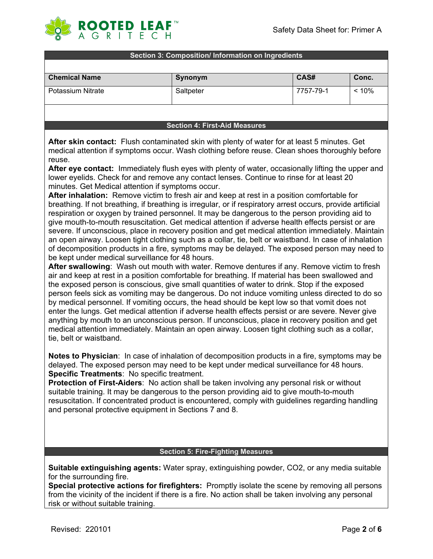

## **Section 3: Composition/ Information on Ingredients**

| <b>Chemical Name</b> | Synonym   | CAS#      | Conc. |
|----------------------|-----------|-----------|-------|
| Potassium Nitrate    | Saltpeter | 7757-79-1 | < 10% |

## **Section 4: First-Aid Measures**

**After skin contact:** Flush contaminated skin with plenty of water for at least 5 minutes. Get medical attention if symptoms occur. Wash clothing before reuse. Clean shoes thoroughly before reuse.

**After eye contact:** Immediately flush eyes with plenty of water, occasionally lifting the upper and lower eyelids. Check for and remove any contact lenses. Continue to rinse for at least 20 minutes. Get Medical attention if symptoms occur.

**After inhalation:** Remove victim to fresh air and keep at rest in a position comfortable for breathing. If not breathing, if breathing is irregular, or if respiratory arrest occurs, provide artificial respiration or oxygen by trained personnel. It may be dangerous to the person providing aid to give mouth-to-mouth resuscitation. Get medical attention if adverse health effects persist or are severe. If unconscious, place in recovery position and get medical attention immediately. Maintain an open airway. Loosen tight clothing such as a collar, tie, belt or waistband. In case of inhalation of decomposition products in a fire, symptoms may be delayed. The exposed person may need to be kept under medical surveillance for 48 hours.

**After swallowing**: Wash out mouth with water. Remove dentures if any. Remove victim to fresh air and keep at rest in a position comfortable for breathing. If material has been swallowed and the exposed person is conscious, give small quantities of water to drink. Stop if the exposed person feels sick as vomiting may be dangerous. Do not induce vomiting unless directed to do so by medical personnel. If vomiting occurs, the head should be kept low so that vomit does not enter the lungs. Get medical attention if adverse health effects persist or are severe. Never give anything by mouth to an unconscious person. If unconscious, place in recovery position and get medical attention immediately. Maintain an open airway. Loosen tight clothing such as a collar, tie, belt or waistband.

**Notes to Physician**: In case of inhalation of decomposition products in a fire, symptoms may be delayed. The exposed person may need to be kept under medical surveillance for 48 hours. **Specific Treatments**: No specific treatment.

**Protection of First-Aiders**: No action shall be taken involving any personal risk or without suitable training. It may be dangerous to the person providing aid to give mouth-to-mouth resuscitation. If concentrated product is encountered, comply with guidelines regarding handling and personal protective equipment in Sections 7 and 8.

## **Section 5: Fire-Fighting Measures**

**Suitable extinguishing agents:** Water spray, extinguishing powder, CO2, or any media suitable for the surrounding fire.

**Special protective actions for firefighters:** Promptly isolate the scene by removing all persons from the vicinity of the incident if there is a fire. No action shall be taken involving any personal risk or without suitable training.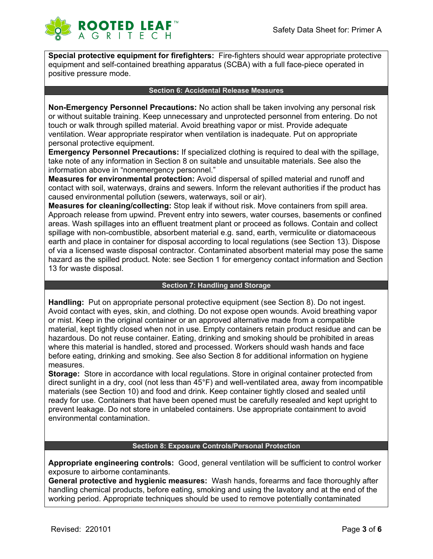

**Special protective equipment for firefighters:** Fire-fighters should wear appropriate protective equipment and self-contained breathing apparatus (SCBA) with a full face-piece operated in positive pressure mode.

## **Section 6: Accidental Release Measures**

**Non-Emergency Personnel Precautions:** No action shall be taken involving any personal risk or without suitable training. Keep unnecessary and unprotected personnel from entering. Do not touch or walk through spilled material. Avoid breathing vapor or mist. Provide adequate ventilation. Wear appropriate respirator when ventilation is inadequate. Put on appropriate personal protective equipment.

**Emergency Personnel Precautions:** If specialized clothing is required to deal with the spillage, take note of any information in Section 8 on suitable and unsuitable materials. See also the information above in "nonemergency personnel."

**Measures for environmental protection:** Avoid dispersal of spilled material and runoff and contact with soil, waterways, drains and sewers. Inform the relevant authorities if the product has caused environmental pollution (sewers, waterways, soil or air).

**Measures for cleaning/collecting:** Stop leak if without risk. Move containers from spill area. Approach release from upwind. Prevent entry into sewers, water courses, basements or confined areas. Wash spillages into an effluent treatment plant or proceed as follows. Contain and collect spillage with non-combustible, absorbent material e.g. sand, earth, vermiculite or diatomaceous earth and place in container for disposal according to local regulations (see Section 13). Dispose of via a licensed waste disposal contractor. Contaminated absorbent material may pose the same hazard as the spilled product. Note: see Section 1 for emergency contact information and Section 13 for waste disposal.

## **Section 7: Handling and Storage**

**Handling:** Put on appropriate personal protective equipment (see Section 8). Do not ingest. Avoid contact with eyes, skin, and clothing. Do not expose open wounds. Avoid breathing vapor or mist. Keep in the original container or an approved alternative made from a compatible material, kept tightly closed when not in use. Empty containers retain product residue and can be hazardous. Do not reuse container. Eating, drinking and smoking should be prohibited in areas where this material is handled, stored and processed. Workers should wash hands and face before eating, drinking and smoking. See also Section 8 for additional information on hygiene measures.

**Storage:** Store in accordance with local regulations. Store in original container protected from direct sunlight in a dry, cool (not less than 45°F) and well-ventilated area, away from incompatible materials (see Section 10) and food and drink. Keep container tightly closed and sealed until ready for use. Containers that have been opened must be carefully resealed and kept upright to prevent leakage. Do not store in unlabeled containers. Use appropriate containment to avoid environmental contamination.

# **Section 8: Exposure Controls/Personal Protection**

**Appropriate engineering controls:** Good, general ventilation will be sufficient to control worker exposure to airborne contaminants.

**General protective and hygienic measures:** Wash hands, forearms and face thoroughly after handling chemical products, before eating, smoking and using the lavatory and at the end of the working period. Appropriate techniques should be used to remove potentially contaminated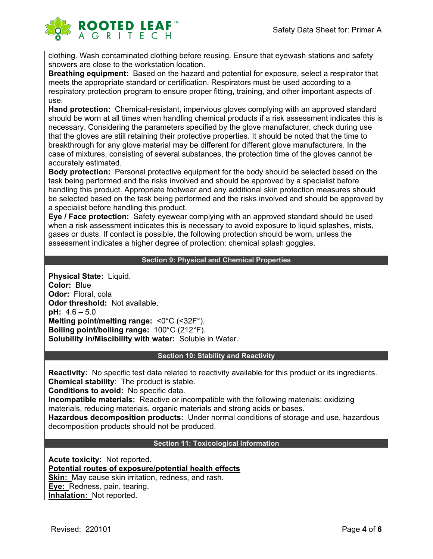

clothing. Wash contaminated clothing before reusing. Ensure that eyewash stations and safety showers are close to the workstation location.

**Breathing equipment:** Based on the hazard and potential for exposure, select a respirator that meets the appropriate standard or certification. Respirators must be used according to a respiratory protection program to ensure proper fitting, training, and other important aspects of use.

**Hand protection:** Chemical-resistant, impervious gloves complying with an approved standard should be worn at all times when handling chemical products if a risk assessment indicates this is necessary. Considering the parameters specified by the glove manufacturer, check during use that the gloves are still retaining their protective properties. It should be noted that the time to breakthrough for any glove material may be different for different glove manufacturers. In the case of mixtures, consisting of several substances, the protection time of the gloves cannot be accurately estimated.

**Body protection:** Personal protective equipment for the body should be selected based on the task being performed and the risks involved and should be approved by a specialist before handling this product. Appropriate footwear and any additional skin protection measures should be selected based on the task being performed and the risks involved and should be approved by a specialist before handling this product.

**Eye / Face protection:** Safety eyewear complying with an approved standard should be used when a risk assessment indicates this is necessary to avoid exposure to liquid splashes, mists, gases or dusts. If contact is possible, the following protection should be worn, unless the assessment indicates a higher degree of protection: chemical splash goggles.

# **Section 9: Physical and Chemical Properties**

**Physical State:** Liquid. **Color:** Blue **Odor:** Floral, cola **Odor threshold:** Not available. **pH:** 4.6 – 5.0 **Melting point/melting range:** <0°C (<32F°). **Boiling point/boiling range:** 100°C (212°F). **Solubility in/Miscibility with water:** Soluble in Water.

## **Section 10: Stability and Reactivity**

**Reactivity:** No specific test data related to reactivity available for this product or its ingredients. **Chemical stability**: The product is stable.

**Conditions to avoid:** No specific data.

**Incompatible materials:** Reactive or incompatible with the following materials: oxidizing materials, reducing materials, organic materials and strong acids or bases.

**Hazardous decomposition products:** Under normal conditions of storage and use, hazardous decomposition products should not be produced.

## **Section 11: Toxicological Information**

**Acute toxicity:** Not reported. **Potential routes of exposure/potential health effects Skin:** May cause skin irritation, redness, and rash. **Eye:** Redness, pain, tearing. **Inhalation:** Not reported.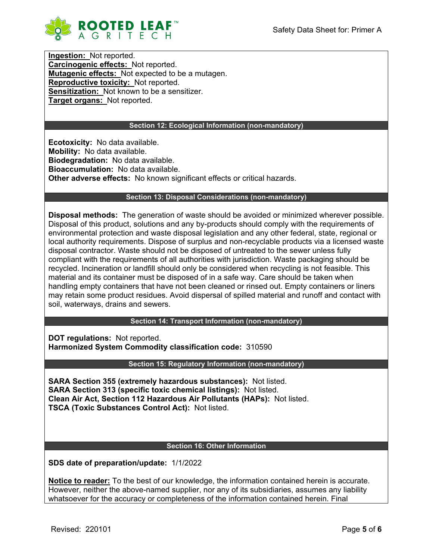

**Ingestion:** Not reported. **Carcinogenic effects:** Not reported. **Mutagenic effects:** Not expected to be a mutagen. **Reproductive toxicity:** Not reported. **Sensitization:** Not known to be a sensitizer. **Target organs:** Not reported.

# **Section 12: Ecological Information (non-mandatory)**

**Ecotoxicity:** No data available. **Mobility:** No data available. **Biodegradation:** No data available. **Bioaccumulation:** No data available. **Other adverse effects:** No known significant effects or critical hazards.

## **Section 13: Disposal Considerations (non-mandatory)**

**Disposal methods:** The generation of waste should be avoided or minimized wherever possible. Disposal of this product, solutions and any by-products should comply with the requirements of environmental protection and waste disposal legislation and any other federal, state, regional or local authority requirements. Dispose of surplus and non-recyclable products via a licensed waste disposal contractor. Waste should not be disposed of untreated to the sewer unless fully compliant with the requirements of all authorities with jurisdiction. Waste packaging should be recycled. Incineration or landfill should only be considered when recycling is not feasible. This material and its container must be disposed of in a safe way. Care should be taken when handling empty containers that have not been cleaned or rinsed out. Empty containers or liners may retain some product residues. Avoid dispersal of spilled material and runoff and contact with soil, waterways, drains and sewers.

**Section 14: Transport Information (non-mandatory)**

**DOT regulations:** Not reported. **Harmonized System Commodity classification code:** 310590

**Section 15: Regulatory Information (non-mandatory)**

**SARA Section 355 (extremely hazardous substances):** Not listed. **SARA Section 313 (specific toxic chemical listings):** Not listed. **Clean Air Act, Section 112 Hazardous Air Pollutants (HAPs):** Not listed. **TSCA (Toxic Substances Control Act):** Not listed.

## **Section 16: Other Information**

**SDS date of preparation/update:** 1/1/2022

**Notice to reader:** To the best of our knowledge, the information contained herein is accurate. However, neither the above-named supplier, nor any of its subsidiaries, assumes any liability whatsoever for the accuracy or completeness of the information contained herein. Final